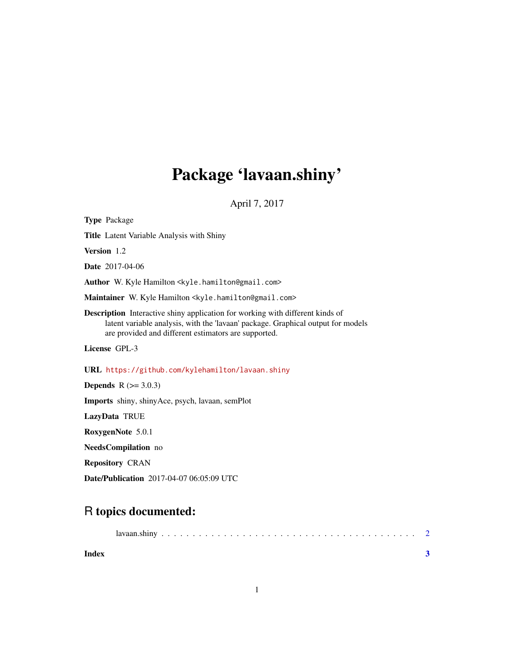## Package 'lavaan.shiny'

April 7, 2017

Type Package Title Latent Variable Analysis with Shiny Version 1.2 Date 2017-04-06 Author W. Kyle Hamilton <kyle.hamilton@gmail.com> Maintainer W. Kyle Hamilton <kyle.hamilton@gmail.com> Description Interactive shiny application for working with different kinds of latent variable analysis, with the 'lavaan' package. Graphical output for models are provided and different estimators are supported. License GPL-3 URL <https://github.com/kylehamilton/lavaan.shiny> **Depends** R  $(>= 3.0.3)$ Imports shiny, shinyAce, psych, lavaan, semPlot LazyData TRUE RoxygenNote 5.0.1 NeedsCompilation no Repository CRAN

Date/Publication 2017-04-07 06:05:09 UTC

### R topics documented:

| Index |  |  |  |  |  |  |  |  |  |  |  |  |  |  |  |  |
|-------|--|--|--|--|--|--|--|--|--|--|--|--|--|--|--|--|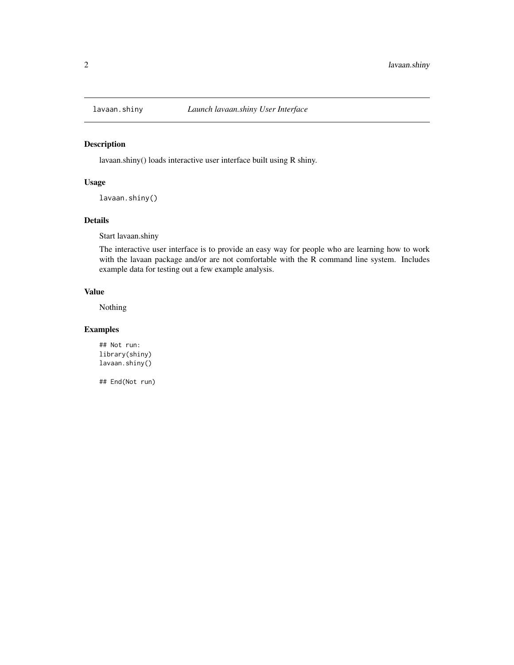<span id="page-1-0"></span>

#### Description

lavaan.shiny() loads interactive user interface built using R shiny.

#### Usage

lavaan.shiny()

#### Details

Start lavaan.shiny

The interactive user interface is to provide an easy way for people who are learning how to work with the lavaan package and/or are not comfortable with the R command line system. Includes example data for testing out a few example analysis.

#### Value

Nothing

#### Examples

## Not run: library(shiny) lavaan.shiny()

## End(Not run)